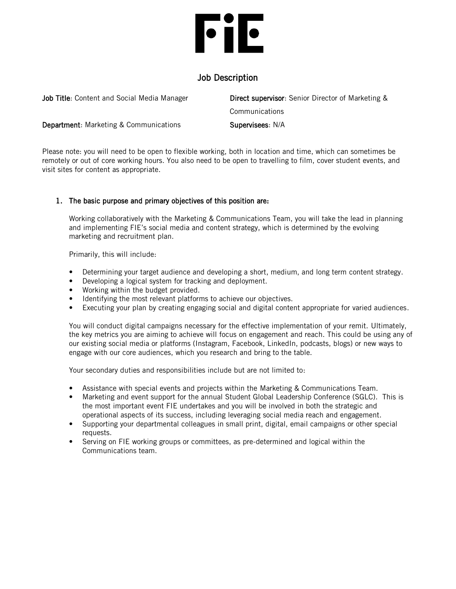# **File**

# Job Description

| <b>Job Title:</b> Content and Social Media Manager | <b>Direct supervisor:</b> Senior Director of Marketing & |
|----------------------------------------------------|----------------------------------------------------------|
|                                                    | Communications                                           |
| <b>Department:</b> Marketing & Communications      | Supervisees: N/A                                         |

Please note: you will need to be open to flexible working, both in location and time, which can sometimes be remotely or out of core working hours. You also need to be open to travelling to film, cover student events, and visit sites for content as appropriate.

# 1. The basic purpose and primary objectives of this position are:

Working collaboratively with the Marketing & Communications Team, you will take the lead in planning and implementing FIE's social media and content strategy, which is determined by the evolving marketing and recruitment plan.

Primarily, this will include:

- Determining your target audience and developing a short, medium, and long term content strategy.
- Developing a logical system for tracking and deployment.
- Working within the budget provided.
- Identifying the most relevant platforms to achieve our objectives.
- Executing your plan by creating engaging social and digital content appropriate for varied audiences.

You will conduct digital campaigns necessary for the effective implementation of your remit. Ultimately, the key metrics you are aiming to achieve will focus on engagement and reach. This could be using any of our existing social media or platforms (Instagram, Facebook, LinkedIn, podcasts, blogs) or new ways to engage with our core audiences, which you research and bring to the table.

Your secondary duties and responsibilities include but are not limited to:

- Assistance with special events and projects within the Marketing & Communications Team.
- Marketing and event support for the annual Student Global Leadership Conference (SGLC). This is the most important event FIE undertakes and you will be involved in both the strategic and operational aspects of its success, including leveraging social media reach and engagement.
- Supporting your departmental colleagues in small print, digital, email campaigns or other special requests.
- Serving on FIE working groups or committees, as pre-determined and logical within the Communications team.